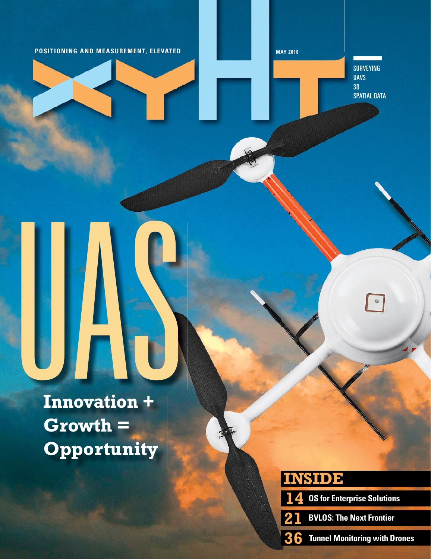

SURVEYING UAVS 3D SPATIAL DATA

 $_{\odot}$ 

# **Innovation + Growth = Opportunity** UAS

## **INSIDE**



**14 OS for Enterprise Solutions**

**21 BVLOS: The Next Frontier**

**36 Tunnel Monitoring with Drones**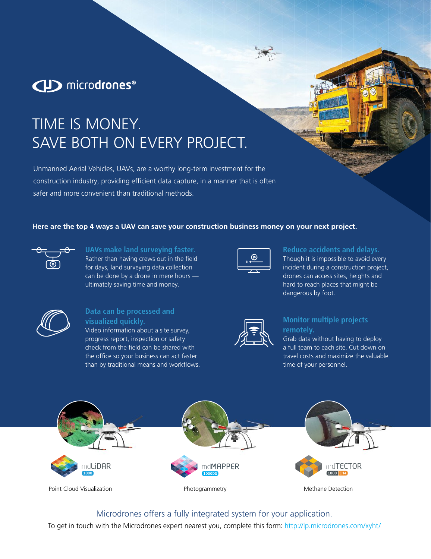## **CD** microdrones<sup>®</sup>

## TIME IS MONEY. SAVE BOTH ON EVERY PROJECT.

Unmanned Aerial Vehicles, UAVs, are a worthy long-term investment for the construction industry, providing efficient data capture, in a manner that is often safer and more convenient than traditional methods.

#### **Here are the top 4 ways a UAV can save your construction business money on your next project.**



**UAVs make land surveying faster.** Rather than having crews out in the field for days, land surveying data collection can be done by a drone in mere hours ultimately saving time and money.

| ை<br>$\overline{H}$ |  |
|---------------------|--|
|                     |  |

#### **Reduce accidents and delays.**

Though it is impossible to avoid every incident during a construction project, drones can access sites, heights and hard to reach places that might be dangerous by foot.



#### **Data can be processed and visualized quickly.**

Video information about a site survey, progress report, inspection or safety check from the field can be shared with the office so your business can act faster than by traditional means and workflows.



### **Monitor multiple projects remotely.**

Grab data without having to deploy a full team to each site. Cut down on travel costs and maximize the valuable time of your personnel.



### Microdrones offers a fully integrated system for your application.

To get in touch with the Microdrones expert nearest you, complete this form: http://lp.microdrones.com/xyht/